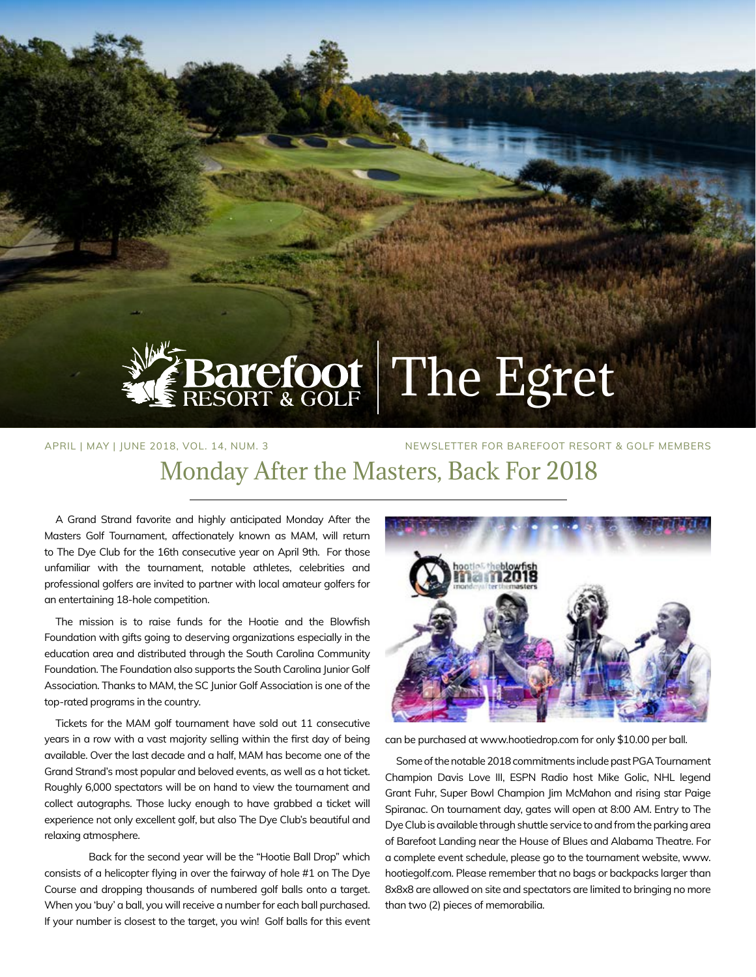

# Barefoot The Egret

### APRIL | MAY | JUNE 2018, VOL. 14, NUM. 3 NEWSLETTER FOR BAREFOOT RESORT & GOLF MEMBERS Monday After the Masters, Back For 2018

A Grand Strand favorite and highly anticipated Monday After the Masters Golf Tournament, affectionately known as MAM, will return to The Dye Club for the 16th consecutive year on April 9th. For those unfamiliar with the tournament, notable athletes, celebrities and professional golfers are invited to partner with local amateur golfers for an entertaining 18-hole competition.

The mission is to raise funds for the Hootie and the Blowfish Foundation with gifts going to deserving organizations especially in the education area and distributed through the South Carolina Community Foundation. The Foundation also supports the South Carolina Junior Golf Association. Thanks to MAM, the SC Junior Golf Association is one of the top-rated programs in the country.

Tickets for the MAM golf tournament have sold out 11 consecutive years in a row with a vast majority selling within the first day of being available. Over the last decade and a half, MAM has become one of the Grand Strand's most popular and beloved events, as well as a hot ticket. Roughly 6,000 spectators will be on hand to view the tournament and collect autographs. Those lucky enough to have grabbed a ticket will experience not only excellent golf, but also The Dye Club's beautiful and relaxing atmosphere.

Back for the second year will be the "Hootie Ball Drop" which consists of a helicopter flying in over the fairway of hole #1 on The Dye Course and dropping thousands of numbered golf balls onto a target. When you 'buy' a ball, you will receive a number for each ball purchased. If your number is closest to the target, you win! Golf balls for this event



can be purchased at www.hootiedrop.com for only \$10.00 per ball.

Some of the notable 2018 commitments include past PGA Tournament Champion Davis Love III, ESPN Radio host Mike Golic, NHL legend Grant Fuhr, Super Bowl Champion Jim McMahon and rising star Paige Spiranac. On tournament day, gates will open at 8:00 AM. Entry to The Dye Club is available through shuttle service to and from the parking area of Barefoot Landing near the House of Blues and Alabama Theatre. For a complete event schedule, please go to the tournament website, www. hootiegolf.com. Please remember that no bags or backpacks larger than 8x8x8 are allowed on site and spectators are limited to bringing no more than two (2) pieces of memorabilia.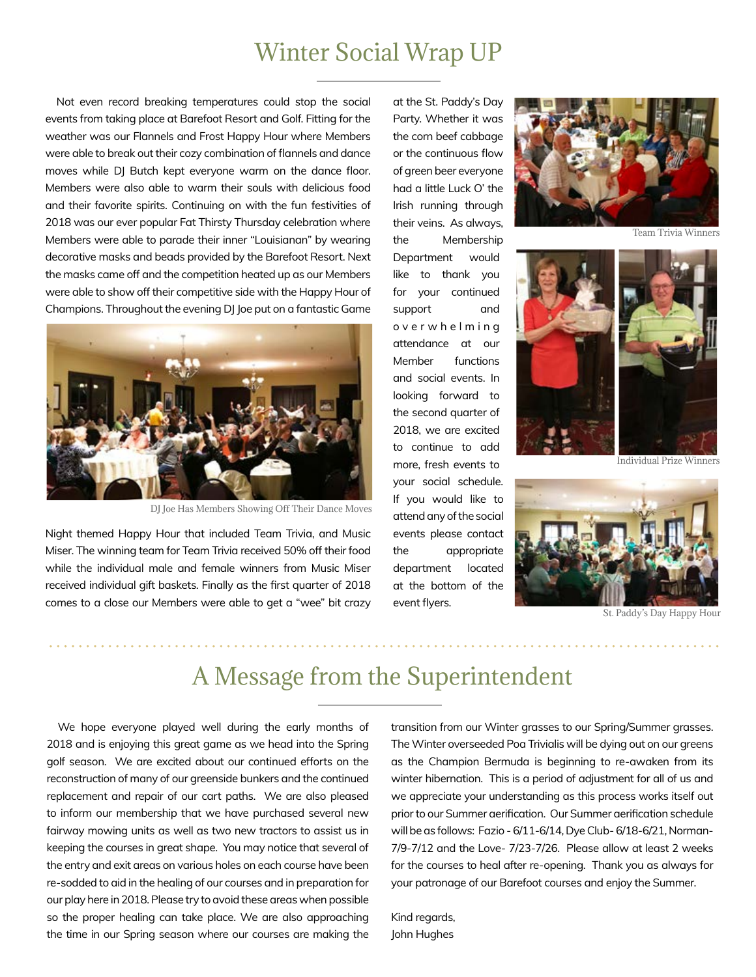## Winter Social Wrap UP

Not even record breaking temperatures could stop the social events from taking place at Barefoot Resort and Golf. Fitting for the weather was our Flannels and Frost Happy Hour where Members were able to break out their cozy combination of flannels and dance moves while DJ Butch kept everyone warm on the dance floor. Members were also able to warm their souls with delicious food and their favorite spirits. Continuing on with the fun festivities of 2018 was our ever popular Fat Thirsty Thursday celebration where Members were able to parade their inner "Louisianan" by wearing decorative masks and beads provided by the Barefoot Resort. Next the masks came off and the competition heated up as our Members were able to show off their competitive side with the Happy Hour of Champions. Throughout the evening DJ Joe put on a fantastic Game



DJ Joe Has Members Showing Off Their Dance Moves

Night themed Happy Hour that included Team Trivia, and Music Miser. The winning team for Team Trivia received 50% off their food while the individual male and female winners from Music Miser received individual gift baskets. Finally as the first quarter of 2018 comes to a close our Members were able to get a "wee" bit crazy

at the St. Paddy's Day Party. Whether it was the corn beef cabbage or the continuous flow of green beer everyone had a little Luck O' the Irish running through their veins. As always, the Membership Department would like to thank you for your continued support and o v e r w h e l m i n g attendance at our Member functions and social events. In looking forward to the second quarter of 2018, we are excited to continue to add more, fresh events to your social schedule. If you would like to attend any of the social events please contact the appropriate department located at the bottom of the event flyers.



Team Trivia Winners



Individual Prize Winners



St. Paddy's Day Happy Hour

# A Message from the Superintendent

We hope everyone played well during the early months of 2018 and is enjoying this great game as we head into the Spring golf season. We are excited about our continued efforts on the reconstruction of many of our greenside bunkers and the continued replacement and repair of our cart paths. We are also pleased to inform our membership that we have purchased several new fairway mowing units as well as two new tractors to assist us in keeping the courses in great shape. You may notice that several of the entry and exit areas on various holes on each course have been re-sodded to aid in the healing of our courses and in preparation for our play here in 2018. Please try to avoid these areas when possible so the proper healing can take place. We are also approaching the time in our Spring season where our courses are making the transition from our Winter grasses to our Spring/Summer grasses. The Winter overseeded Poa Trivialis will be dying out on our greens as the Champion Bermuda is beginning to re-awaken from its winter hibernation. This is a period of adjustment for all of us and we appreciate your understanding as this process works itself out prior to our Summer aerification. Our Summer aerification schedule will be as follows: Fazio - 6/11-6/14, Dye Club- 6/18-6/21, Norman-7/9-7/12 and the Love- 7/23-7/26. Please allow at least 2 weeks for the courses to heal after re-opening. Thank you as always for your patronage of our Barefoot courses and enjoy the Summer.

Kind regards, John Hughes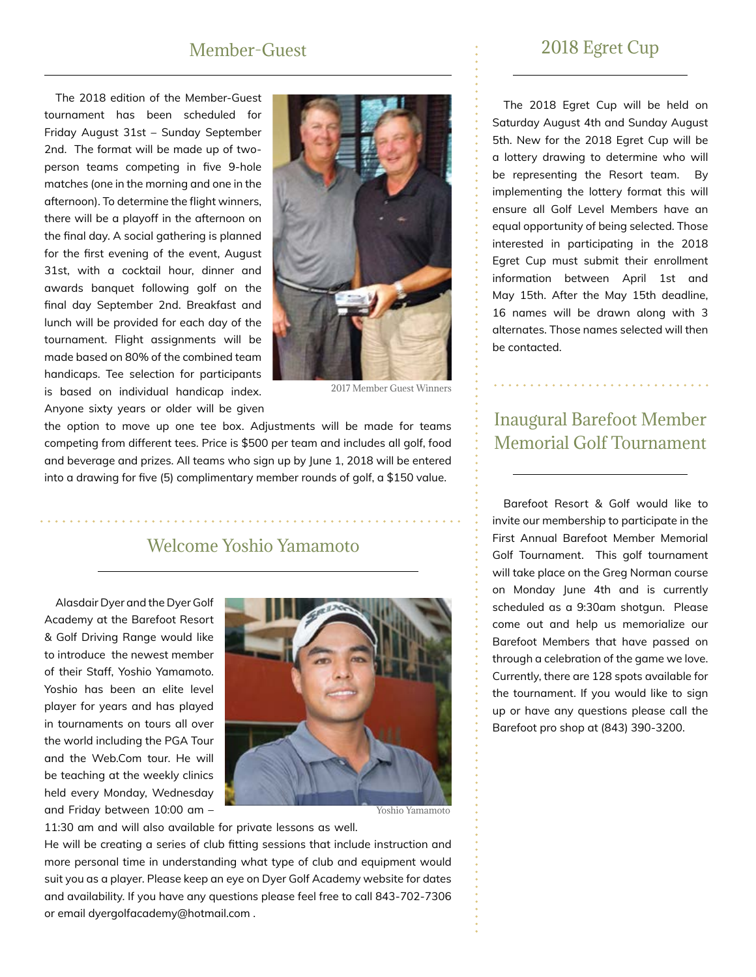#### Member-Guest

The 2018 edition of the Member-Guest tournament has been scheduled for Friday August 31st – Sunday September 2nd. The format will be made up of twoperson teams competing in five 9-hole matches (one in the morning and one in the afternoon). To determine the flight winners, there will be a playoff in the afternoon on the final day. A social gathering is planned for the first evening of the event, August 31st, with a cocktail hour, dinner and awards banquet following golf on the final day September 2nd. Breakfast and lunch will be provided for each day of the tournament. Flight assignments will be made based on 80% of the combined team handicaps. Tee selection for participants is based on individual handicap index. Anyone sixty years or older will be given



2017 Member Guest Winners

the option to move up one tee box. Adjustments will be made for teams competing from different tees. Price is \$500 per team and includes all golf, food and beverage and prizes. All teams who sign up by June 1, 2018 will be entered into a drawing for five (5) complimentary member rounds of golf, a \$150 value.

#### Welcome Yoshio Yamamoto

Alasdair Dyer and the Dyer Golf Academy at the Barefoot Resort & Golf Driving Range would like to introduce the newest member of their Staff, Yoshio Yamamoto. Yoshio has been an elite level player for years and has played in tournaments on tours all over the world including the PGA Tour and the Web.Com tour. He will be teaching at the weekly clinics held every Monday, Wednesday and Friday between 10:00 am –



Yoshio Yamamoto

11:30 am and will also available for private lessons as well. He will be creating a series of club fitting sessions that include instruction and more personal time in understanding what type of club and equipment would suit you as a player. Please keep an eye on Dyer Golf Academy website for dates and availability. If you have any questions please feel free to call 843-702-7306 or email dyergolfacademy@hotmail.com .

#### 2018 Egret Cup

The 2018 Egret Cup will be held on Saturday August 4th and Sunday August 5th. New for the 2018 Egret Cup will be a lottery drawing to determine who will be representing the Resort team. By implementing the lottery format this will ensure all Golf Level Members have an equal opportunity of being selected. Those interested in participating in the 2018 Egret Cup must submit their enrollment information between April 1st and May 15th. After the May 15th deadline, 16 names will be drawn along with 3 alternates. Those names selected will then be contacted.

#### Inaugural Barefoot Member Memorial Golf Tournament

Barefoot Resort & Golf would like to invite our membership to participate in the First Annual Barefoot Member Memorial Golf Tournament. This golf tournament will take place on the Greg Norman course on Monday June 4th and is currently scheduled as a 9:30am shotgun. Please come out and help us memorialize our Barefoot Members that have passed on through a celebration of the game we love. Currently, there are 128 spots available for the tournament. If you would like to sign up or have any questions please call the Barefoot pro shop at (843) 390-3200.